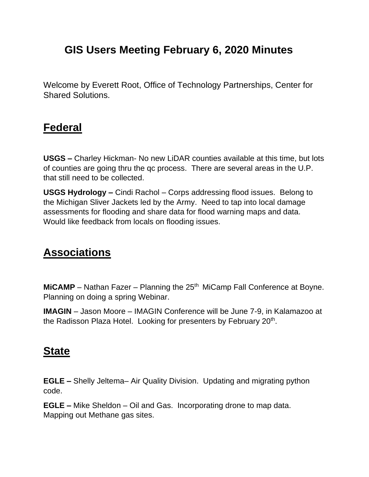## **GIS Users Meeting February 6, 2020 Minutes**

Welcome by Everett Root, Office of Technology Partnerships, Center for Shared Solutions.

#### **Federal**

**USGS –** Charley Hickman- No new LiDAR counties available at this time, but lots of counties are going thru the qc process. There are several areas in the U.P. that still need to be collected.

**USGS Hydrology –** Cindi Rachol – Corps addressing flood issues. Belong to the Michigan Sliver Jackets led by the Army. Need to tap into local damage assessments for flooding and share data for flood warning maps and data. Would like feedback from locals on flooding issues.

#### **Associations**

**MICAMP** – Nathan Fazer – Planning the 25<sup>th</sup> MiCamp Fall Conference at Boyne. Planning on doing a spring Webinar.

**IMAGIN** – Jason Moore – IMAGIN Conference will be June 7-9, in Kalamazoo at the Radisson Plaza Hotel. Looking for presenters by February 20<sup>th</sup>.

### **State**

**EGLE –** Shelly Jeltema– Air Quality Division. Updating and migrating python code.

**EGLE –** Mike Sheldon – Oil and Gas. Incorporating drone to map data. Mapping out Methane gas sites.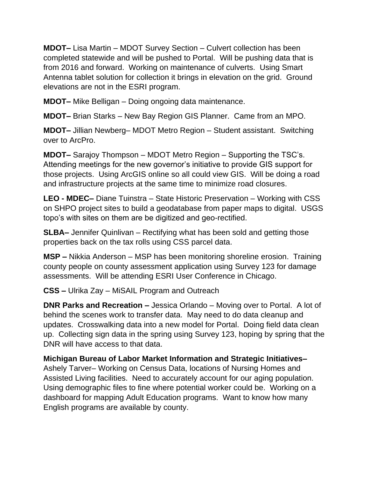**MDOT–** Lisa Martin – MDOT Survey Section – Culvert collection has been completed statewide and will be pushed to Portal. Will be pushing data that is from 2016 and forward. Working on maintenance of culverts. Using Smart Antenna tablet solution for collection it brings in elevation on the grid. Ground elevations are not in the ESRI program.

**MDOT–** Mike Belligan – Doing ongoing data maintenance.

**MDOT–** Brian Starks – New Bay Region GIS Planner. Came from an MPO.

**MDOT–** Jillian Newberg– MDOT Metro Region – Student assistant. Switching over to ArcPro.

**MDOT–** Sarajoy Thompson – MDOT Metro Region – Supporting the TSC's. Attending meetings for the new governor's initiative to provide GIS support for those projects. Using ArcGIS online so all could view GIS. Will be doing a road and infrastructure projects at the same time to minimize road closures.

**LEO - MDEC–** Diane Tuinstra – State Historic Preservation – Working with CSS on SHPO project sites to build a geodatabase from paper maps to digital. USGS topo's with sites on them are be digitized and geo-rectified.

**SLBA–** Jennifer Quinlivan – Rectifying what has been sold and getting those properties back on the tax rolls using CSS parcel data.

**MSP –** Nikkia Anderson – MSP has been monitoring shoreline erosion. Training county people on county assessment application using Survey 123 for damage assessments. Will be attending ESRI User Conference in Chicago.

**CSS –** Ulrika Zay – MiSAIL Program and Outreach

**DNR Parks and Recreation –** Jessica Orlando – Moving over to Portal. A lot of behind the scenes work to transfer data. May need to do data cleanup and updates. Crosswalking data into a new model for Portal. Doing field data clean up. Collecting sign data in the spring using Survey 123, hoping by spring that the DNR will have access to that data.

**Michigan Bureau of Labor Market Information and Strategic Initiatives–** Ashely Tarver– Working on Census Data, locations of Nursing Homes and Assisted Living facilities. Need to accurately account for our aging population. Using demographic files to fine where potential worker could be. Working on a dashboard for mapping Adult Education programs. Want to know how many English programs are available by county.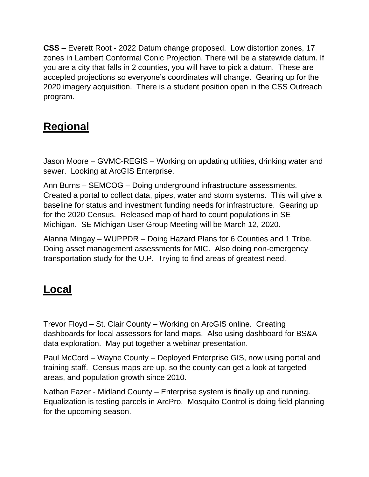**CSS –** Everett Root - 2022 Datum change proposed. Low distortion zones, 17 zones in Lambert Conformal Conic Projection. There will be a statewide datum. If you are a city that falls in 2 counties, you will have to pick a datum. These are accepted projections so everyone's coordinates will change. Gearing up for the 2020 imagery acquisition. There is a student position open in the CSS Outreach program.

# **Regional**

Jason Moore – GVMC-REGIS – Working on updating utilities, drinking water and sewer. Looking at ArcGIS Enterprise.

Ann Burns – SEMCOG – Doing underground infrastructure assessments. Created a portal to collect data, pipes, water and storm systems. This will give a baseline for status and investment funding needs for infrastructure. Gearing up for the 2020 Census. Released map of hard to count populations in SE Michigan. SE Michigan User Group Meeting will be March 12, 2020.

Alanna Mingay – WUPPDR – Doing Hazard Plans for 6 Counties and 1 Tribe. Doing asset management assessments for MIC. Also doing non-emergency transportation study for the U.P. Trying to find areas of greatest need.

## **Local**

Trevor Floyd – St. Clair County – Working on ArcGIS online. Creating dashboards for local assessors for land maps. Also using dashboard for BS&A data exploration. May put together a webinar presentation.

Paul McCord – Wayne County – Deployed Enterprise GIS, now using portal and training staff. Census maps are up, so the county can get a look at targeted areas, and population growth since 2010.

Nathan Fazer - Midland County – Enterprise system is finally up and running. Equalization is testing parcels in ArcPro. Mosquito Control is doing field planning for the upcoming season.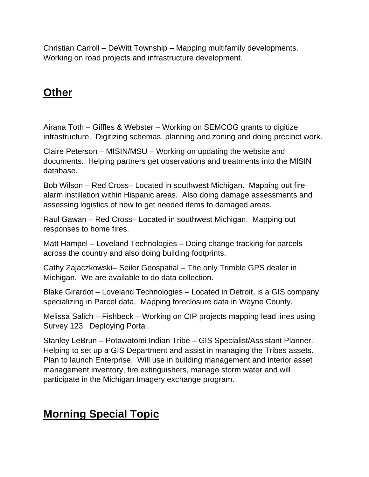Christian Carroll – DeWitt Township – Mapping multifamily developments. Working on road projects and infrastructure development.

## **Other**

Airana Toth – Giffles & Webster – Working on SEMCOG grants to digitize infrastructure. Digitizing schemas, planning and zoning and doing precinct work.

Claire Peterson – MISIN/MSU – Working on updating the website and documents. Helping partners get observations and treatments into the MISIN database.

Bob Wilson – Red Cross– Located in southwest Michigan. Mapping out fire alarm instillation within Hispanic areas. Also doing damage assessments and assessing logistics of how to get needed items to damaged areas.

Raul Gawan – Red Cross– Located in southwest Michigan. Mapping out responses to home fires.

Matt Hampel – Loveland Technologies – Doing change tracking for parcels across the country and also doing building footprints.

Cathy Zajaczkowski– Seiler Geospatial – The only Trimble GPS dealer in Michigan. We are available to do data collection.

Blake Girardot – Loveland Technologies – Located in Detroit, is a GIS company specializing in Parcel data. Mapping foreclosure data in Wayne County.

Melissa Salich – Fishbeck – Working on CIP projects mapping lead lines using Survey 123. Deploying Portal.

Stanley LeBrun – Potawatomi Indian Tribe – GIS Specialist/Assistant Planner. Helping to set up a GIS Department and assist in managing the Tribes assets. Plan to launch Enterprise. Will use in building management and interior asset management inventory, fire extinguishers, manage storm water and will participate in the Michigan Imagery exchange program.

## **Morning Special Topic**